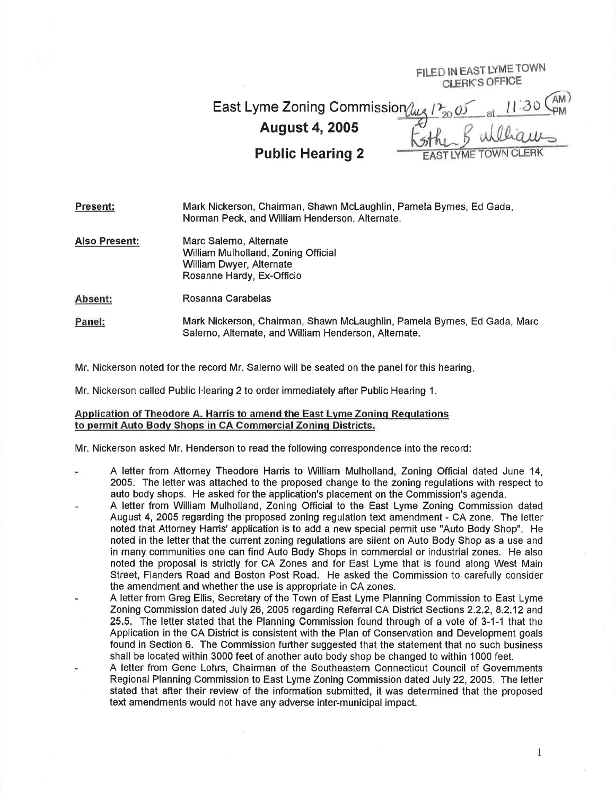ED IN EAST LYME TOWN<br>CLERK'S OFFICE

AM) East Lyme Zoning Commission  $\mu$ August 4,2005 Public Hearing 2 STIVME

Present: Mark Nickerson, Chairman, Shawn McLaughlin, Pamela Byrnes, Ed Gada, Norman Peck, and William Henderson, Alternate.

Also Present: Marc Salerno, Alternate William Mulholland, Zoning Official William Dwyer, Alternate Rosanne Hardy, Ex-Officio

Absent: Rosanna Carabelas

Panel: Mark Nickerson, Chairman, Shawn McLaughlin, Pamela Byrnes, Ed Gada, Marc Salerno, Alternate, and William Henderson, Alternate.

Mr. Nickerson noted for the record Mr. Salerno will be seated on the panel for this hearing.

Mr. Nickerson called Public Hearing 2 to order immediately after Public Hearing 1.

## Application of Theodore A. Harris to amend the East Lvme Zoninq Requlations to permit Auto Body Shops in CA Commercial Zoning Districts.

Mr. Nickerson asked Mr. Henderson to read the following correspondence into the record:

- A letter from Attorney Theodore Harris to William Mulholland, Zoning Official dated June 14, 2005. The letter was attached to the proposed change to the zoning regulations with respect to auto body shops, He asked for the application's placement on the Commission's agenda.
- A letter from William Mulholland, Zoning Official to the East Lyme Zoning Commission dated August 4,2005 regarding the proposed zoning regulation text amendment - CA zone. The letter noted that Attorney Harris' application is to add a new special permit use "Auto Body Shop". He noted in the letter that the current zoning regulations are silent on Auto Body Shop as a use and in many communities one can find Auto Body Shops in commercial or industrial zones. He also noted the proposal is strictly for CA Zones and for East Lyme that is found along West Main Street, Flanders Road and Boston Post Road. He asked the Commission to carefully consider the amendment and whether the use is appropriate in CA zones.
- A letter from Greg Ellis, Secretary of the Town of East Lyme Planning Commission to East Lyme Zoning Commission dated July 26,2005 regarding Referral CA District Sections 2.2.2, 8.2.12 and 25.5, The letter stated that the Planning Commission found through of a vote of 3-1-1 that the Application in the CA District is consistent with the Plan of Conservation and Development goals found in Section 6. The Commission further suggested that the statement that no such business shall be located within 3000 feet of another auto body shop be changed to within 1000 feet.
- A letter from Gene Lohrs, Chairman of the Southeastern Connecticut Council of Governments Regional Planning Commission to East Lyme Zoning Commission dated July 22,2005. The letter stated that after their review of the information submitted, it was determined that the proposed text amendments would not have any adverse inter-municipal impact.

I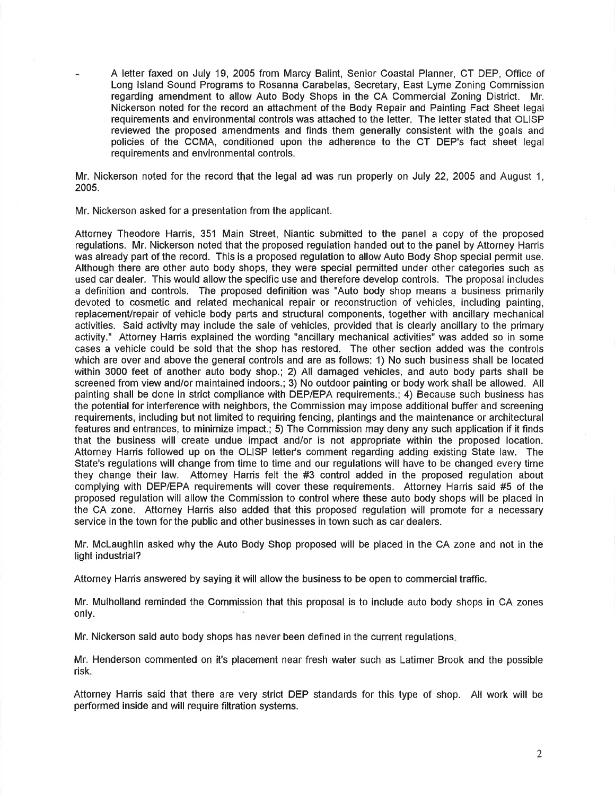A letter faxed on July 19, 2005 from Marcy Balint, Senior Coastal Planner, CT DEP, Office of Long lsland Sound Programs to Rosanna Carabelas, Secretary, East Lyme Zoning Commission regarding amendment to allow Auto Body Shops in the CA Commercial Zoning District. Mr. Nickerson noted for the record an attachment of the Body Repair and Painting Fact Sheet legal requirements and environmental controls was attached to the letter. The letter stated that OLISP reviewed the proposed amendments and flnds them generally consistent with the goals and policies of the CCMA, conditioned upon the adherence to the CT DEP's fact sheet legal requirements and environmental controls.

Mr. Nickerson noted for the record that the legal ad was run properly on July 22, 2005 and August 1, 2005.

Mr. Nickerson asked for a presentation from the applicant.

Attorney Theodore Harris, 351 Main Street, Niantic submitted to the panel a copy of the proposed regulations. Mr. Nickerson noted that the proposed regulation handed out to the panel by Attorney Harris was already part of the record. This is a proposed regulation to allow Auto Body Shop special permit use. Although there are other auto body shops, they were special permitted under other categories such as used car dealer. This would allow the specific use and therefore develop controls, The proposal includes a definition and controls. The proposed definition was "Auto body shop means a business primarily devoted to cosmetic and related mechanical repair or reconstruction of vehicles, including painting, replacement/repair of vehicle body parts and structural components, together with ancillary mechanical activities. Said activity may include the sale of vehicles, provided that is clearly ancillary to the primary activity." Attorney Harris explained the wording "ancillary mechanical activities" was added so in some cases a vehicle could be sold that the shop has restored. The other section added was the controls which are over and above the general controls and are as follows: 1) No such business shall be located within 3000 feet of another auto body shop.; 2) All damaged vehicles, and auto body parts shall be screened from view and/or maintained indoors.; 3) No outdoor painting or body work shall be allowed. All painting shall be done in strict compliance with DEP/EPA requirements.; 4) Because such business has the potential for interference with neighbors, the Commission may impose additional buffer and screening requirements, including but not limited to requiring fencing, plantings and the maintenance or architectural features and entrances, to minimize impact.; 5) The Commission may deny any such application if it finds that the business will create undue impact and/or is not appropriate within the proposed location. Attorney Harris followed up on the OLISP letter's comment regarding adding existing State law. The State's regulations will change from time to time and our regulations will have to be changed every time they change their law. Attorney Harris felt the #3 control added in the proposed regulation about complying with DEP/EPA requirements will cover these requirements. Attorney Harris said #5 of the proposed regulation will allow the Commission to control where these auto body shops will be placed in the CA zone. Attorney Harris also added that this proposed regulation will promote for a necessary service in the town for the public and other businesses in town such as car dealers.

Mr. Mclaughlin asked why the Auto Body Shop proposed will be placed in the CA zone and not in the light industrial?

Attorney Harris answered by saying it will allow the business to be open to commercial traffic.

Mr. Mulholland reminded the Commission that this proposal is to include auto body shops in CA zones only.

Mr. Nickerson said auto body shops has never been defined in the current regulations

Mr. Henderson commented on it's placement near fresh water such as Latimer Brook and the possible risk.

Attorney Harris said that there are very strict DEP standards for this type of shop. All work will be performed inside and will require filtration systems.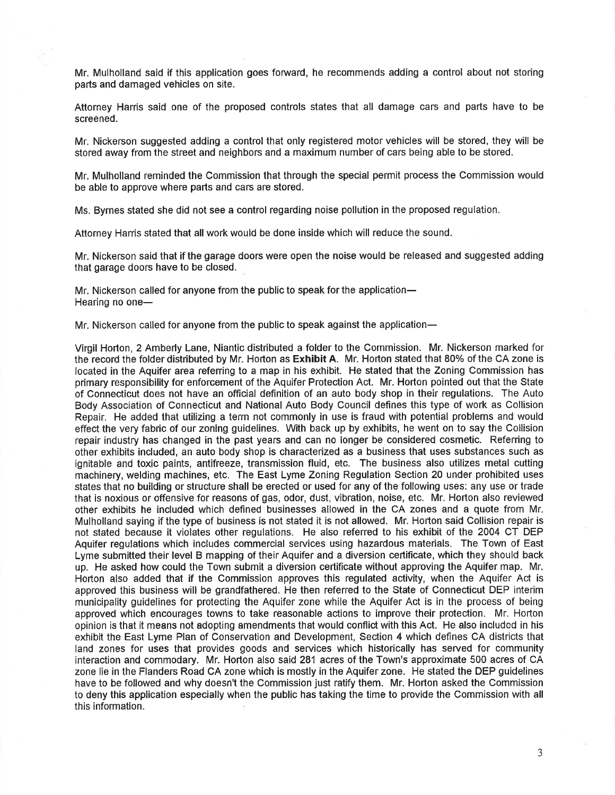Mr. Mulholland said if this application goes forward, he recommends adding a control about not storing parts and damaged vehicles on site.

Attorney Harris said one of the proposed controls states that all damage cars and parts have to be screened.

Mr. Nickerson suggested adding a control that only registered motor vehicles will be stored, they will be stored away from the street and neighbors and a maximum number of cars being able to be stored.

Mr. Mulholland reminded the Commission that through the special permit process the Commission would be able to approve where parts and cars are stored.

Ms. Byrnes stated she did not see a control regarding noise pollution in the proposed regulation.

Attorney Harris stated that all work would be done inside which will reduce the sound.

Mr. Nickerson said that if the garage doors were open the noise would be released and suggested adding that garage doors have to be closed.

Mr. Nickerson called for anyone from the public to speak for the application-Hearing no one-

Mr. Nickerson called for anyone from the public to speak against the application-

Virgil Horton, 2 Amberly Lane, Niantic distributed a folder to the Commission. Mr. Nickerson marked for the record the folder distributed by Mr. Horton as Exhibit A. Mr. Horton stated that 80% of the CA zone is located in the Aquifer area refening to a map in his exhibit. He stated that the Zoning Commission has primary responsibility for enforcement of the Aquifer Protection Act. Mr. Horton pointed out that the State of Connecticut does not have an official definition of an auto body shop in their regulations. The Auto Body Association of Connecticut and National Auto Body Council defines this type of work as Collision Repair. He added that utilizing a term not commonly in use is fraud with potential problems and would effect the very fabric of our zoning guidelines. With back up by exhibits, he went on to say the Collision repair industry has changed in the past years and can no longer be considered cosmetic. Referring to other exhibits included, an auto body shop is characterized as a business that uses substances such as ignitable and toxic paints, antifreeze, transmission fluid, etc. The business also utilizes metal cutting machinery, welding machines, etc. The East Lyme Zoning Regulation Section 20 under prohibited uses states that no building or structure shall be erected or used for any of the following uses: any use or trade that is noxious or offensive for reasons of gas, odor, dust, vibration, noise, etc. Mr. Horton also reviewed other exhibits he included which defined businesses allowed in the CA zones and a quote from Mr. Mulholland saying if the type of business is not stated it is not allowed. Mr. Horton said Collision repair is not stated because it violates other regulations. He also referred to his exhibit of the 2004 CT DEP Aquifer regulations which includes commercial services using hazardous materials. The Town of East Lyme submitted their level B mapping of their Aquifer and a diversion certificate, which they should back up. He asked how could the Town submit a diversion certificate without approving the Aquifer map. Mr. Horton also added that if the Commission approves this regulated activity, when the Aquifer Act is approved this business will be grandfathered. He then referred to the State of Connecticut DEP interim municipality guidelines for protecting the Aquifer zone while the Aquifer Act is in the process of being approved which encourages towns to take reasonable actions to improve their protection. Mr. Horton opinion is that it means not adopting amendments that would conflict with this Act. He also includcd in his exhibit the East Lyme Plan of Conservation and Development, Section 4 which defines CA districts that land zones for uses that provides goods and services which historically has served for community interaction and commodary. Mr. Horton also said 281 acres of the Town's approximate 500 acres of CA zone lie in the Flanders Road CA zone which is mostly in the Aquifer zone. He stated the DEP guidelines have to be followed and why doesn't the Commission just ratify them. Mr. Horton asked the Commission to deny this application especially when the public has taking the time to provide the Commission with all this information.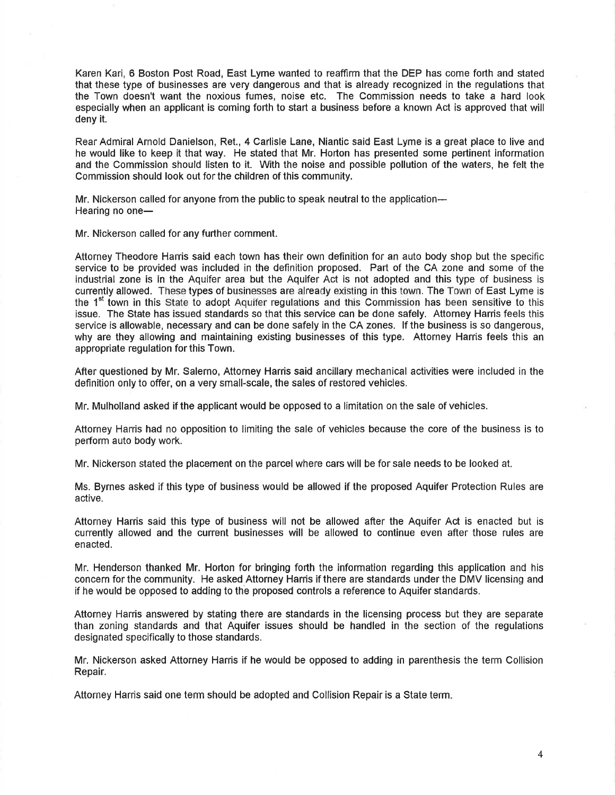Karen Kari, 6 Boston Post Road, East Lyme wanted to reaffirm that the DEP has come forth and stated that these type of businesses are very dangerous and that is already recognized in the regulations that the Town doesn't want the noxious fumes, noise etc. The Commission needs to take a hard look especially when an applicant is coming forth to start a business before a known Act is approved that will deny it.

Rear Admiral Arnold Danielson, Ret., 4 Carlisle Lane, Niantic said East Lyme is a great place to live and he would like to keep it that way. He stated that Mr. Horton has presented some pertinent information and the Commission should listen to it. With the noise and possible pollution of the waters, he felt the Commission should look out for the children of this community.

Mr. Nickerson called for anyone from the public to speak neutral to the application-Hearing no one-

Mr. Nickerson called for any further comment.

Attorney Theodore Harris said each town has their own definition for an auto body shop but the specific service to be provided was included in the definition proposed. Part of the CA zone and some of the industrial zone is in the Aquifer area but the Aquifer Act is not adopted and this type of business is currently allowed. These types of businesses are already existing in this town. The Town of East Lyme is the 1<sup>st</sup> town in this State to adopt Aquifer regulations and this Commission has been sensitive to this issue. The State has issued standards so that this service can be done safely. Attorney Harris feels this service is allowable, necessary and can be done safely in the CA zones. lf the business is so dangerous, why are they allowing and maintaining existing businesses of this type. Attorney Harris feels this an appropriate regulation for this Town.

After questioned by Mr. Salerno, Attorney Harris said ancillary mechanical activities were included in the definition only to offer, on a very small-scale, the sales of restored vehicles.

Mr. Mulholland asked if the applicant would be opposed to a limitation on the sale of vehicles.

Attorney Harris had no opposition to limiting the sale of vehicles because the core of the business is to perform auto body work.

Mr. Nickerson stated the placement on the parcel where cars will be for sale needs to be looked at.

Ms. Byrnes asked if this type of business would be allowed if the proposed Aquifer Protection Rules are active.

Attorney Harris said this type of business will not be allowed after the Aquifer Act is enacted but is currently allowed and the current businesses will be allowed to continue even after those rules are enacted.

Mr. Henderson thanked Mr. Horton for bringing forth the information regarding this application and his concern for the community. He asked Attorney Harris if there are standards under the DMV licensing and if he would be opposed to adding to the proposed controls a reference to Aquifer standards.

Attorney Harris answered by stating there are standards in the licensing process but they are separate than zoning standards and that Aquifer issues should be handled in the section of the regulations designated specifically to those standards.

Mr, Nickerson asked Attorney Harris if he would be opposed to adding in parenthesis the term Collision Repair.

Attorney Harris said one term should be adopted and Collision Repair is a State term